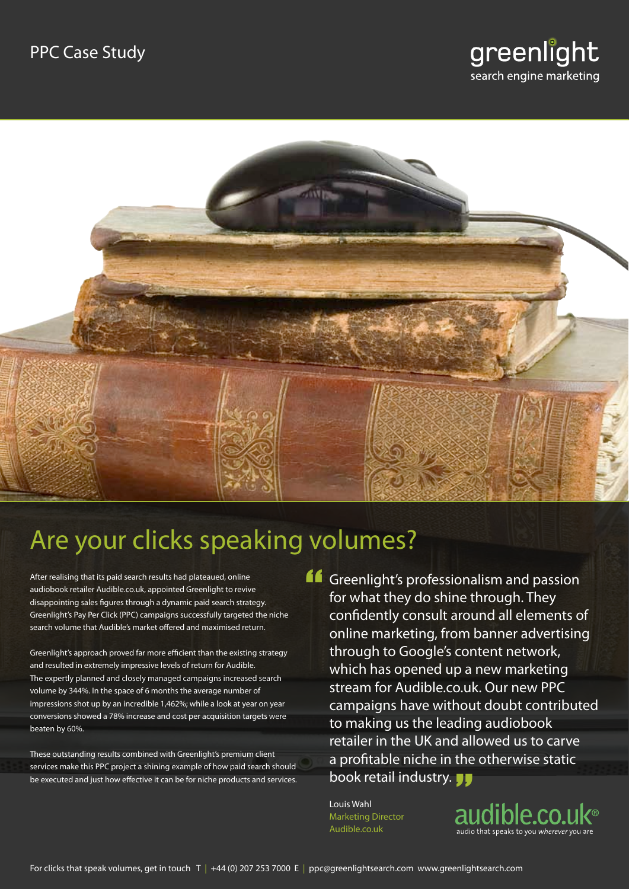## PPC Case Study





# Are your clicks speaking volumes?

After realising that its paid search results had plateaued, online audiobook retailer Audible.co.uk, appointed Greenlight to revive disappointing sales figures through a dynamic paid search strategy. Greenlight's Pay Per Click (PPC) campaigns successfully targeted the niche search volume that Audible's market offered and maximised return.

Greenlight's approach proved far more efficient than the existing strategy and resulted in extremely impressive levels of return for Audible. The expertly planned and closely managed campaigns increased search volume by 344%. In the space of 6 months the average number of impressions shot up by an incredible 1,462%; while a look at year on year conversions showed a 78% increase and cost per acquisition targets were beaten by 60%.

These outstanding results combined with Greenlight's premium client services make this PPC project a shining example of how paid search should be executed and just how effective it can be for niche products and services.

**Greenlight's professionalism and passion<br>for what they do shine through. They<br>confidently consult around all elements on** for what they do shine through. They confidently consult around all elements of online marketing, from banner advertising through to Google's content network, which has opened up a new marketing stream for Audible.co.uk. Our new PPC campaigns have without doubt contributed to making us the leading audiobook retailer in the UK and allowed us to carve a profitable niche in the otherwise static book retail industry. **JJ** 

Louis Wahl Marketing Director Audible.co.uk